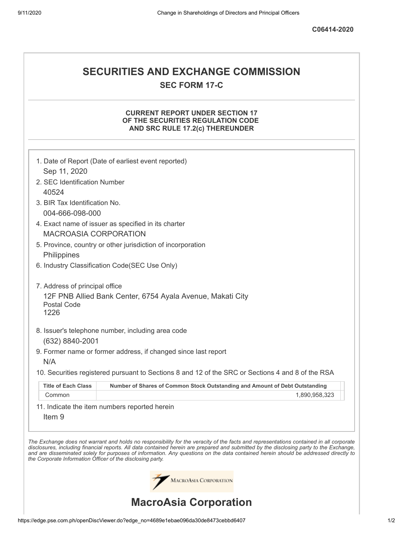# **SECURITIES AND EXCHANGE COMMISSION SEC FORM 17-C**

## **CURRENT REPORT UNDER SECTION 17 OF THE SECURITIES REGULATION CODE AND SRC RULE 17.2(c) THEREUNDER**

|                                                            | 1. Date of Report (Date of earliest event reported)                                                                                                                                                                                                                                                                                                                                                                      |
|------------------------------------------------------------|--------------------------------------------------------------------------------------------------------------------------------------------------------------------------------------------------------------------------------------------------------------------------------------------------------------------------------------------------------------------------------------------------------------------------|
| Sep 11, 2020                                               |                                                                                                                                                                                                                                                                                                                                                                                                                          |
| 2. SEC Identification Number                               |                                                                                                                                                                                                                                                                                                                                                                                                                          |
| 40524                                                      |                                                                                                                                                                                                                                                                                                                                                                                                                          |
| 3. BIR Tax Identification No.                              |                                                                                                                                                                                                                                                                                                                                                                                                                          |
| 004-666-098-000                                            |                                                                                                                                                                                                                                                                                                                                                                                                                          |
|                                                            | 4. Exact name of issuer as specified in its charter                                                                                                                                                                                                                                                                                                                                                                      |
| <b>MACROASIA CORPORATION</b>                               |                                                                                                                                                                                                                                                                                                                                                                                                                          |
|                                                            | 5. Province, country or other jurisdiction of incorporation                                                                                                                                                                                                                                                                                                                                                              |
| Philippines                                                |                                                                                                                                                                                                                                                                                                                                                                                                                          |
|                                                            | 6. Industry Classification Code(SEC Use Only)                                                                                                                                                                                                                                                                                                                                                                            |
| 7. Address of principal office                             |                                                                                                                                                                                                                                                                                                                                                                                                                          |
| <b>Postal Code</b><br>1226                                 | 12F PNB Allied Bank Center, 6754 Ayala Avenue, Makati City                                                                                                                                                                                                                                                                                                                                                               |
|                                                            |                                                                                                                                                                                                                                                                                                                                                                                                                          |
|                                                            | 8. Issuer's telephone number, including area code                                                                                                                                                                                                                                                                                                                                                                        |
| (632) 8840-2001                                            |                                                                                                                                                                                                                                                                                                                                                                                                                          |
|                                                            | 9. Former name or former address, if changed since last report                                                                                                                                                                                                                                                                                                                                                           |
| N/A                                                        |                                                                                                                                                                                                                                                                                                                                                                                                                          |
|                                                            | 10. Securities registered pursuant to Sections 8 and 12 of the SRC or Sections 4 and 8 of the RSA                                                                                                                                                                                                                                                                                                                        |
| <b>Title of Each Class</b>                                 | Number of Shares of Common Stock Outstanding and Amount of Debt Outstanding                                                                                                                                                                                                                                                                                                                                              |
| Common                                                     | 1,890,958,323                                                                                                                                                                                                                                                                                                                                                                                                            |
|                                                            | 11. Indicate the item numbers reported herein                                                                                                                                                                                                                                                                                                                                                                            |
| Item <sub>9</sub>                                          |                                                                                                                                                                                                                                                                                                                                                                                                                          |
|                                                            |                                                                                                                                                                                                                                                                                                                                                                                                                          |
| the Corporate Information Officer of the disclosing party. | The Exchange does not warrant and holds no responsibility for the veracity of the facts and representations contained in all corporate<br>disclosures, including financial reports. All data contained herein are prepared and submitted by the disclosing party to the Exchange,<br>and are disseminated solely for purposes of information. Any questions on the data contained herein should be addressed directly to |
|                                                            | MACROASIA CORPORATION                                                                                                                                                                                                                                                                                                                                                                                                    |
|                                                            | <b>MacroAsia Corporation</b>                                                                                                                                                                                                                                                                                                                                                                                             |